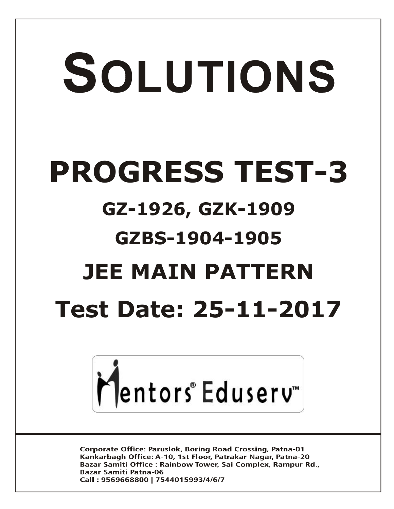# SOLUTIONS **PROGRESS TEST-3 GZ-1926, GZK-1909 GZBS-1904-1905 JEE MAIN PATTERN Test Date: 25-11-2017**



**Corporate Office: Paruslok, Boring Road Crossing, Patna-01** Kankarbagh Office: A-10, 1st Floor, Patrakar Nagar, Patna-20 Bazar Samiti Office: Rainbow Tower, Sai Complex, Rampur Rd., **Bazar Samiti Patna-06** Call: 9569668800 | 7544015993/4/6/7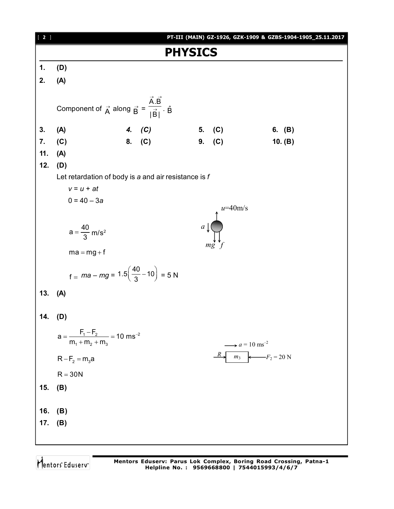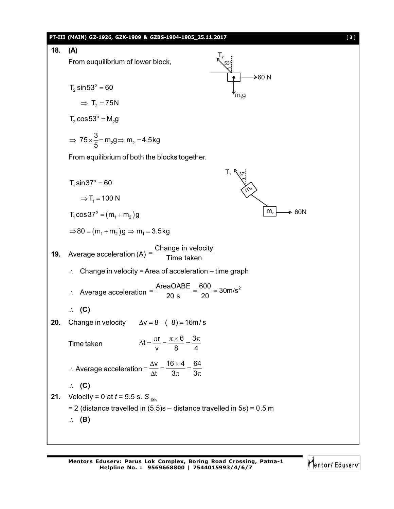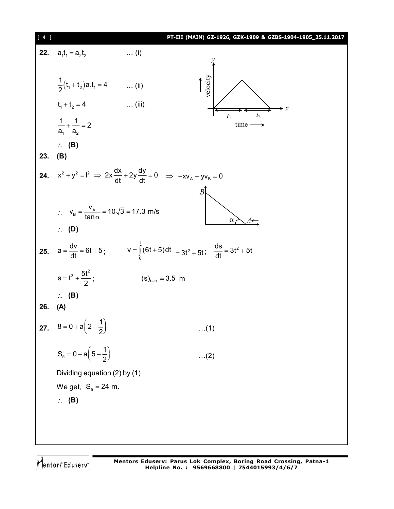| $4 \mid$<br>PT-III (MAIN) GZ-1926, GZK-1909 & GZBS-1904-1905_25.11.2017 |                                                                                                                    |                                                   |
|-------------------------------------------------------------------------|--------------------------------------------------------------------------------------------------------------------|---------------------------------------------------|
| 22.                                                                     | $a_1t_1 = a_2t_2$<br>$\ldots$ (i)                                                                                  |                                                   |
|                                                                         |                                                                                                                    |                                                   |
|                                                                         | $\frac{1}{2}(t_1+t_2)a_1t_1 = 4$ (ii)                                                                              | velocity                                          |
|                                                                         | $\ldots$ (iii)<br>$t_1 + t_2 = 4$                                                                                  | $\boldsymbol{\cdot} \boldsymbol{x}$               |
|                                                                         | $rac{1}{a_1} + \frac{1}{a_2} = 2$                                                                                  | t <sub>2</sub><br>$t_1$<br>$time \longrightarrow$ |
|                                                                         | $\therefore$ (B)                                                                                                   |                                                   |
| 23.                                                                     | (B)                                                                                                                |                                                   |
|                                                                         | <b>24.</b> $x^2 + y^2 = I^2 \implies 2x \frac{dx}{dt} + 2y \frac{dy}{dt} = 0 \implies -xv_A + yv_B = 0$            |                                                   |
|                                                                         |                                                                                                                    | $\overline{B}$                                    |
|                                                                         | $\therefore$ $v_B = \frac{v_A}{\tan \alpha} = 10\sqrt{3} = 17.3 \text{ m/s}$                                       | $\alpha$                                          |
|                                                                         | $\therefore$ (D)                                                                                                   |                                                   |
|                                                                         | <b>25.</b> $a = \frac{dv}{dt} = 6t + 5$ ; $v = \int_{0}^{t} (6t + 5) dt = 3t^2 + 5t$ ; $\frac{ds}{dt} = 3t^2 + 5t$ |                                                   |
|                                                                         | $s = t^3 + \frac{5t^2}{2};$                                                                                        | $(s)_{t=1s} = 3.5 \text{ m}$                      |
|                                                                         | $\therefore$ (B)                                                                                                   |                                                   |
| 26.                                                                     | (A)                                                                                                                |                                                   |
| 27.                                                                     | $8 = 0 + a\left(2 - \frac{1}{2}\right)$                                                                            | (1)                                               |
|                                                                         | $S_5 = 0 + a\left(5 - \frac{1}{2}\right)$                                                                          | $(2)$                                             |
|                                                                         | Dividing equation (2) by (1)                                                                                       |                                                   |
|                                                                         | We get, $S_5 = 24$ m.                                                                                              |                                                   |
|                                                                         | $\therefore$ (B)                                                                                                   |                                                   |
|                                                                         |                                                                                                                    |                                                   |
|                                                                         |                                                                                                                    |                                                   |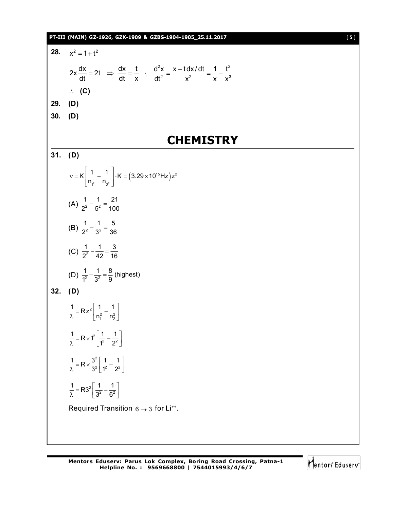## **PT-III (MAIN) GZ-1926, GZK-1909 & GZBS-1904-1905\_25.11.2017** [ **5** ] **28.**  $x^2 = 1 + t^2$  $2x \frac{dx}{dt} = 2t \Rightarrow \frac{dx}{dt} = \frac{t}{t}$  $\frac{dx}{dt} = 2t \Rightarrow \frac{dx}{dt} = \frac{1}{x}$  :  $2v \times Hv/dt + 1 + 2$ 2  $v^2$   $v^{3}$  $d^2x \quad x - t dx/dt \quad 1 \quad t^2$  $dt^2$  x<sup>2</sup> x x<sup>3</sup>  $=\frac{x-t dx/dt}{2}=\frac{1}{2}$  **(C) 29. (D) 30. (D) CHEMISTRY 31. (D)**  $\begin{bmatrix} - & - & \cdots & - & 3.29 \times 10^{10} & \text{Hz} \end{bmatrix}$ <br> $\begin{bmatrix} 2 & 0 & 0 \\ 0 & 2 & 0 \\ 0 & 0 & 0 \end{bmatrix}$  $15 \square$   $\rightarrow$   $2$  $1^2$   $1^2$  $K\left|\frac{1}{n_{r2}}-\frac{1}{n_{r2}}\right| \cdot K = (3.29 \times 10^{15} Hz)z^{2}$  $1 \quad 1$  $v = K \left[ \frac{1}{n_{12}} - \frac{1}{n_{22}} \right] \cdot K = (3.29 \times 1)$ (A)  $\frac{1}{2^2} - \frac{1}{5^2} = \frac{21}{100}$  $\frac{1}{2^2} - \frac{1}{5^2} = \frac{24}{100}$ (B)  $\frac{1}{2^2} - \frac{1}{3^2} = \frac{5}{36}$  $\frac{1}{2^2} - \frac{1}{3^2} = \frac{5}{36}$ (C)  $\frac{1}{2^2} - \frac{1}{42} = \frac{3}{16}$  $\frac{1}{2^2} - \frac{1}{42} = \frac{6}{16}$ (D)  $\frac{1}{1^2} - \frac{1}{3^2} = \frac{8}{9}$  (highest) **32. (D)**  $\left[\frac{1}{n_1^2} - \frac{1}{n_2^2}\right]$  $\frac{1}{\lambda}$  = Rz<sup>2</sup>  $\frac{1}{n_1^2}$  -  $\frac{1}{n_2^2}$  $\frac{1}{\lambda}$  = Rz<sup>2</sup> $\left[ \frac{1}{n_1^2} - \frac{1}{n_2^2} \right]$  $\frac{1}{\lambda} = R \times 1^2 \left[ \frac{1}{1^2} - \frac{1}{2^2} \right]$  $\frac{1}{\lambda}$  = R × 1<sup>2</sup>  $\left[\frac{1}{1^2} - \frac{1}{2^2}\right]$ 2  $rac{1}{\lambda}$  = R  $\times \frac{3^2}{3^2}$   $\frac{1}{1^2}$  -  $\frac{1}{2^2}$  $\frac{1}{\lambda}$  = R  $\times \frac{3^2}{3^2} \left[ \frac{1}{1^2} - \frac{1}{2^2} \right]$  $rac{1}{\lambda}$  = R3<sup>2</sup>  $rac{1}{3^2}$  -  $rac{1}{6^2}$  $\frac{1}{\lambda}$  = R3<sup>2</sup>  $\left[\frac{1}{3^2} - \frac{1}{6^2}\right]$ Required Transition  $6 \rightarrow 3$  for Li $^{**}$ .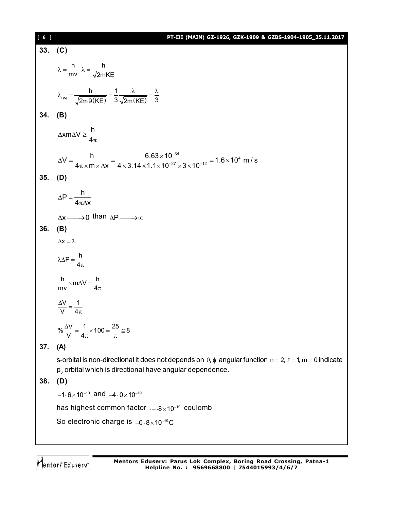| [6]       | PT-III (MAIN) GZ-1926, GZK-1909 & GZBS-1904-1905_25.11.2017                                                                                                                                 |
|-----------|---------------------------------------------------------------------------------------------------------------------------------------------------------------------------------------------|
|           | 33. $(C)$                                                                                                                                                                                   |
|           | $\lambda = \frac{h}{mv}$ $\lambda = \frac{h}{\sqrt{2mKF}}$                                                                                                                                  |
|           | $\lambda_{\text{req}} = \frac{h}{\sqrt{2m9(\text{KE})}} = \frac{1}{3} \frac{\lambda}{\sqrt{2m(\text{KE})}} = \frac{\lambda}{3}$                                                             |
| 34.       | (B)                                                                                                                                                                                         |
|           | $\triangle$ xm $\triangle$ V $\geq \frac{h}{4\pi}$                                                                                                                                          |
|           | $\Delta V = \frac{h}{4\pi \times m \times \Delta x} = \frac{6.63 \times 10^{-34}}{4 \times 3.14 \times 1.1 \times 10^{-27} \times 3 \times 10^{-12}} = 1.6 \times 10^4 m/s$                 |
| $35.$ (D) |                                                                                                                                                                                             |
|           | $\Delta P = \frac{h}{4\pi\Delta x}$                                                                                                                                                         |
|           | $\Delta x \longrightarrow 0$ than $\Delta P \longrightarrow \infty$                                                                                                                         |
| 36.       | (B)                                                                                                                                                                                         |
|           | $\Delta\mathsf{x}=\lambda$                                                                                                                                                                  |
|           | $\lambda \Delta P = \frac{h}{4\pi}$                                                                                                                                                         |
|           | $\frac{h}{mv}$ × m $\Delta V = \frac{h}{4\pi}$                                                                                                                                              |
|           | $\frac{\Delta V}{V} = \frac{1}{4\pi}$                                                                                                                                                       |
|           | $\% \frac{\Delta V}{V} = \frac{1}{4\pi} \times 100 = \frac{25}{\pi} \approx 8$                                                                                                              |
| 37.       | (A)                                                                                                                                                                                         |
|           | s-orbital is non-directional it does not depends on $\theta$ , $\phi$ angular function $n = 2$ , $\ell = 1$ , m = 0 indicate<br>$p_z$ orbital which is directional have angular dependence. |
| 38.       | (D)                                                                                                                                                                                         |
|           | $-1.6 \times 10^{-19}$ and $-4.0 \times 10^{-19}$                                                                                                                                           |
|           | has highest common factor $-8 \times 10^{-19}$ coulomb                                                                                                                                      |
|           | So electronic charge is $-0.8 \times 10^{-19}$ C                                                                                                                                            |
|           |                                                                                                                                                                                             |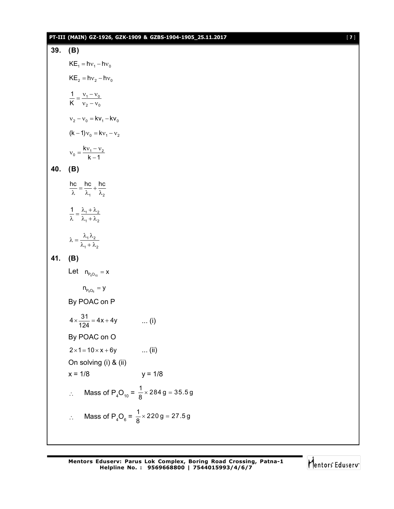## **PT-III (MAIN) GZ-1926, GZK-1909 & GZBS-1904-1905\_25.11.2017** [ **7** ]

39. (B)  
\nKE<sub>1</sub> = hv<sub>1</sub> - hv<sub>0</sub>  
\nKE<sub>2</sub> = hv<sub>2</sub> - hv<sub>0</sub>  
\n
$$
\frac{1}{K} = \frac{v_1 - v_0}{v_2 - v_0}
$$
  
\n $v_2 - v_0 = kv_1 - kv_0$   
\n(k-1)v<sub>0</sub> = kv<sub>1</sub> - v<sub>2</sub>  
\n $v_0 = \frac{kv_1 - v_2}{k - 1}$   
\n40. (B)  
\n $\frac{hc}{\lambda} = \frac{hc}{\lambda_1} + \frac{hc}{\lambda_2}$   
\n $\frac{1}{\lambda} = \frac{\lambda_1 + \lambda_2}{\lambda_1 + \lambda_2}$   
\n $\lambda = \frac{\lambda_1 \lambda_2}{\lambda_1 + \lambda_2}$   
\n41. (B)  
\nLet  $n_{p_2 0_{10}} = x$   
\n $n_{p_4 0_6} = y$   
\nBy POAC on P  
\n $4 \times \frac{31}{124} = 4x + 4y$  ... (i)  
\nBy POAC on Q  
\n $2 \times 1 = 10 \times x + 6y$  ... (ii)  
\nOn solving (i) & (ii)  
\n $x = 1/8$   
\n $\therefore$  Mass of P<sub>4</sub>O<sub>10</sub> =  $\frac{1}{8} \times 284 g = 35.5 g$   
\n $\therefore$  Mass of P<sub>4</sub>O<sub>6</sub> =  $\frac{1}{8} \times 220 g = 27.5 g$ 

Mentors<sup>e</sup> Eduserv<sup>-</sup>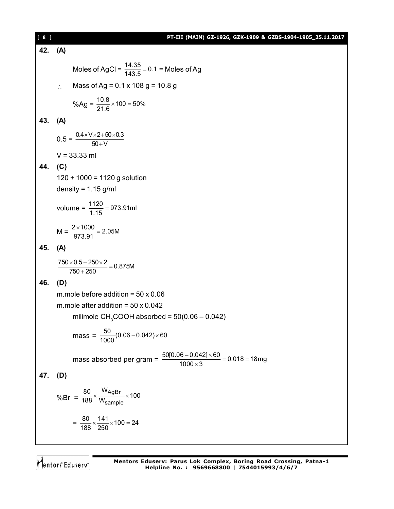| [ 8 ] | PT-III (MAIN) GZ-1926, GZK-1909 & GZBS-1904-1905_25.11.2017                                |
|-------|--------------------------------------------------------------------------------------------|
| 42.   | (A)                                                                                        |
|       | Moles of AgCl = $\frac{14.35}{143.5}$ = 0.1 = Moles of Ag                                  |
|       | Mass of Ag = $0.1 \times 108$ g = 10.8 g<br>$\therefore$                                   |
|       | %Ag = $\frac{10.8}{21.6}$ × 100 = 50%                                                      |
| 43.   | (A)                                                                                        |
|       | $0.5 = \frac{0.4 \times V \times 2 + 50 \times 0.3}{50 + V}$                               |
|       | $V = 33.33$ ml                                                                             |
| 44.   | (C)                                                                                        |
|       | $120 + 1000 = 1120$ g solution                                                             |
|       | density = $1.15$ g/ml                                                                      |
|       | volume = $\frac{1120}{115}$ = 973.91ml                                                     |
|       | $M = \frac{2 \times 1000}{973.91} = 2.05M$                                                 |
| 45.   | (A)                                                                                        |
|       | $\frac{750\times0.5+250\times2}{750+250}=0.875M$                                           |
| 46.   | (D)                                                                                        |
|       | m.mole before addition = $50 \times 0.06$                                                  |
|       | m.mole after addition = $50 \times 0.042$                                                  |
|       | milimole CH <sub>3</sub> COOH absorbed = $50(0.06 - 0.042)$                                |
|       | mass = $\frac{50}{1000}(0.06-0.042)\times 60$                                              |
|       | mass absorbed per gram = $\frac{50[0.06 - 0.042] \times 60}{1000 \times 3}$ = 0.018 = 18mg |
| 47.   | (D)                                                                                        |
|       | %Br = $\frac{80}{188} \times \frac{W_{\text{AgBr}}}{W_{\text{sample}}} \times 100$         |
|       | $=\frac{80}{188}\times\frac{141}{250}\times 100=24$                                        |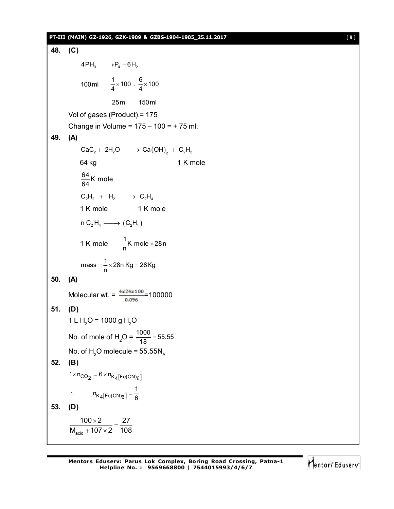## **PT-III (MAIN) GZ-1926, GZK-1909 & GZBS-1904-1905\_25.11.2017** [ **9** ]

48. (C)  
\n4PH<sub>3</sub> → P<sub>4</sub> + 6H<sub>2</sub>  
\n100ml 
$$
\frac{1}{4} \times 100 \cdot \frac{6}{4} \times 100
$$
  
\n25ml 150ml  
\nVol of gases (Product) = 175  
\nChange in Volume = 175 – 100 = + 75 ml.  
\n49. (A)  
\nCaC<sub>2</sub> + 2H<sub>2</sub>O → Ca(OH)<sub>2</sub> + C<sub>2</sub>H<sub>2</sub>  
\n64 kg 1 K mole  
\n $\frac{64}{64}K$  mole  
\nC<sub>2</sub>H<sub>2</sub> + H<sub>2</sub> → C<sub>2</sub>H<sub>4</sub>  
\n1 K mole 1 K mole  
\nnC<sub>2</sub>H<sub>4</sub> → (C<sub>2</sub>H<sub>4</sub>)  
\n1 K mole  $\frac{1}{n}K$  mole × 28n  
\nmass =  $\frac{1}{n} \times 28n$  Kg = 28Kg  
\n50. (A)  
\nMolecular wt. =  $\frac{4 \times 24 \times 100}{0.096} = 100000$   
\n51. (D)  
\n1 L H<sub>2</sub>O = 1000 g H<sub>2</sub>O  
\nNo. of mole of H<sub>2</sub>O =  $\frac{1000}{18} = 55.55$   
\nNo. of H<sub>2</sub>O molecule = 55.55N<sub>A</sub>  
\n52. (B)  
\n1× n<sub>CO2</sub> = 6×n<sub>K4</sub>[Fe(CN)<sub>6</sub>]  
\n $\therefore$  n<sub>K\_4</sub>[Fe(CN)<sub>6</sub>] =  $\frac{1}{6}$   
\n53. (D)  
\n $\frac{100 \times 2}{M_{\text{acid}} + 107 \times 2} = \frac{27}{108}$ 

Mentors<sup>e</sup> Eduserv<sup>-</sup>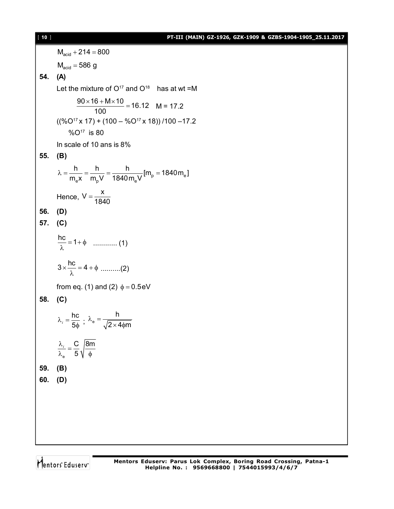$M<sub>acid</sub> + 214 = 800$  $M<sub>acid</sub> = 586 g$ **54. (A)** Let the mixture of  $O^{17}$  and  $O^{18}$  has at wt =M  $\frac{90 \times 16 + M \times 10}{100} = 16.12$ 100  $\frac{\times 16 + M \times 10}{100}$  = 16.12 M = 17.2  $((\%O^{17} \times 17) + (100 - \%O^{17} \times 18)) / 100 - 17.2$  %O<sup>17</sup> is 80 In scale of 10 ans is 8% **55. (B)**  $_{\rm p}$  –  $_{\rm v}$  –  $_{\rm e}$  $e^{A}$   $\mathbf{m}_{\mathbf{p}}$   $\mathbf{v}$   $\mathbf{v}$   $\mathbf{v}$   $\mathbf{v}$  $\frac{h}{m} = \frac{h}{m} = \frac{h}{1848 \text{ N}} [m_{\text{n}} = 1840 \text{ m}_{\text{e}}]$  $m_{\rm e}$ x  $m_{\rm n}$ V 1840 $m_{\rm e}$ V  $\lambda = \frac{11}{100} = \frac{11}{100} = \frac{11}{100} = \frac{11}{100}$  [m<sub>p</sub> = 1 Hence,  $V = \frac{X}{12}$ 1840  $=$ **56. (D) 57. (C)**  $\frac{hc}{\hat{}}$  = 1+ $\phi$  $\frac{1}{\lambda}$  = 1+  $\phi$  ............. (1)  $3 \times \frac{hc}{\hat{ }} = 4 + \phi$ .  $\frac{1}{\lambda}$  = 4 +  $\phi$  ..........(2) from eq. (1) and (2)  $\phi = 0.5$ eV **58. (C)** hc 5  $\lambda_i = \frac{1}{2}$  $i = \frac{1}{50}$ ;  $\lambda_e$ h  $2\times 4$  $\phi$ m  $\lambda_{_{\bf e}} = \times$ 4фп e C |8m 5  $\frac{\lambda_i}{\lambda_i} =$  $\lambda_e$  5  $\sqrt{\phi}$ *i* **59. (B) 60. (D)**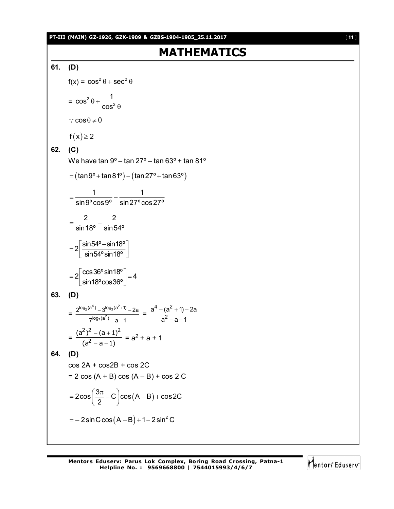**PT-III (MAIN) GZ-1926, GZK-1909 & GZBS-1904-1905\_25.11.2017** [ **11** ]

# **MATHEMATICS**

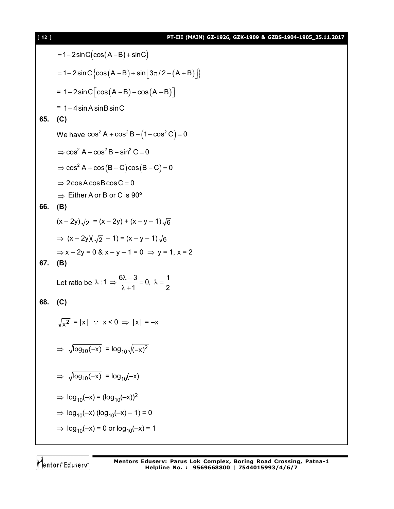| $[12]$ | PT-III (MAIN) GZ-1926, GZK-1909 & GZBS-1904-1905_25.11.2017                                        |
|--------|----------------------------------------------------------------------------------------------------|
|        | $= 1-2\sin C(\cos(A-B)+\sin C)$                                                                    |
|        | $= 1 - 2 \sin C \{ \cos (A - B) + \sin [3\pi/2 - (A + B)] \}$                                      |
|        | $= 1-2\sin C \left[\cos(A-B)-\cos(A+B)\right]$                                                     |
| 65.    | $= 1 - 4 \sin A \sin B \sin C$<br>(C)                                                              |
|        | We have $\cos^2 A + \cos^2 B - (1 - \cos^2 C) = 0$                                                 |
|        | $\Rightarrow$ cos <sup>2</sup> A + cos <sup>2</sup> B – sin <sup>2</sup> C = 0                     |
|        | $\Rightarrow$ cos <sup>2</sup> A + cos(B + C)cos(B - C) = 0                                        |
|        | $\Rightarrow$ 2 cos A cos B cos C = 0<br>$\Rightarrow$ Either A or B or C is 90°                   |
| 66.    | (B)                                                                                                |
|        | $(x - 2y)\sqrt{2} = (x - 2y) + (x - y - 1)\sqrt{6}$                                                |
|        | $\Rightarrow$ $(x - 2y)(\sqrt{2} - 1) = (x - y - 1)\sqrt{6}$                                       |
| 67.    | $\Rightarrow$ x - 2y = 0 & x - y - 1 = 0 $\Rightarrow$ y = 1, x = 2<br>(B)                         |
|        | Let ratio be $\lambda$ :1 $\Rightarrow \frac{6\lambda-3}{\lambda+1} = 0$ , $\lambda = \frac{1}{2}$ |
| 68.    | (C)                                                                                                |
|        | $\sqrt{x^2} =  x $ : $x < 0 \Rightarrow  x  = -x$                                                  |
|        | $\Rightarrow \sqrt{\log_{10}(-x)} = \log_{10} \sqrt{(-x)^2}$                                       |
|        | $\Rightarrow \sqrt{\log_{10}(-x)} = \log_{10}(-x)$                                                 |
|        | $\Rightarrow$ log <sub>10</sub> (-x) = (log <sub>10</sub> (-x)) <sup>2</sup>                       |
|        | $\Rightarrow$ log <sub>10</sub> (-x) (log <sub>10</sub> (-x) - 1) = 0                              |
|        | $\Rightarrow$ log <sub>10</sub> (-x) = 0 or log <sub>10</sub> (-x) = 1                             |
|        |                                                                                                    |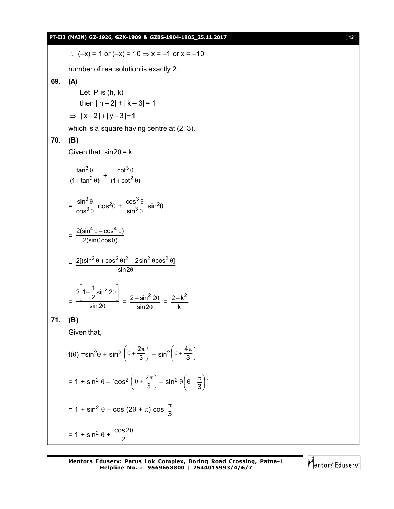|     | PT-III (MAIN) GZ-1926, GZK-1909 & GZBS-1904-1905_25.11.2017                                                                                                 | $[13]$ |
|-----|-------------------------------------------------------------------------------------------------------------------------------------------------------------|--------|
|     | :. $(-x) = 1$ or $(-x) = 10 \Rightarrow x = -1$ or $x = -10$                                                                                                |        |
|     | number of real solution is exactly 2.                                                                                                                       |        |
| 69. | (A)                                                                                                                                                         |        |
|     | Let $P$ is $(h, k)$                                                                                                                                         |        |
|     | then $ h - 2  +  k - 3  = 1$                                                                                                                                |        |
|     | $\Rightarrow$ $ x-2 + y-3 =1$                                                                                                                               |        |
|     | which is a square having centre at (2, 3).                                                                                                                  |        |
| 70. | (B)                                                                                                                                                         |        |
|     | Given that, $sin2\theta = k$                                                                                                                                |        |
|     | $\frac{\tan^3\theta}{(1+\tan^2\theta)}+\frac{\cot^3\theta}{(1+\cot^2\theta)}$                                                                               |        |
|     |                                                                                                                                                             |        |
|     | $=\frac{\sin^3\theta}{\cos^3\theta}\cos^2\theta+\frac{\cos^3\theta}{\sin^3\theta}\sin^2\theta$                                                              |        |
|     | $=\frac{2(\sin^4\theta+\cos^4\theta)}{2(\sin\theta\cos\theta)}$                                                                                             |        |
|     | $=\frac{2[(\sin^2\theta+\cos^2\theta)^2-2\sin^2\theta\cos^2\theta]}{\sin 2\theta}$                                                                          |        |
|     | $=\frac{2\left 1-\frac{1}{2}\sin^2 2\theta\right }{\sin 2\theta}=\frac{2-\sin^2 2\theta}{\sin 2\theta}=\frac{2-k^2}{k}$                                     |        |
| 71. | (B)                                                                                                                                                         |        |
|     | Given that,                                                                                                                                                 |        |
|     | $f(\theta) = \sin^2\theta + \sin^2\left(\theta + \frac{2\pi}{3}\right) + \sin^2\left(\theta + \frac{4\pi}{3}\right)$                                        |        |
|     | = 1 + sin <sup>2</sup> $\theta$ – [cos <sup>2</sup> $\left(\theta + \frac{2\pi}{3}\right)$ – sin <sup>2</sup> $\theta\left(\theta + \frac{\pi}{3}\right)$ ] |        |
|     | = 1 + sin <sup>2</sup> θ – cos (2θ + π) cos $\frac{\pi}{3}$                                                                                                 |        |
|     | $= 1 + \sin^2 \theta + \frac{\cos 2\theta}{2}$                                                                                                              |        |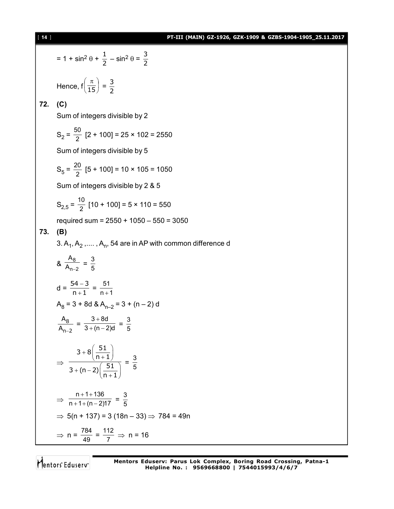## [ **14** ] **PT-III (MAIN) GZ-1926, GZK-1909 & GZBS-1904-1905\_25.11.2017**

$$
= 1 + \sin^2 \theta + \frac{1}{2} - \sin^2 \theta = \frac{3}{2}
$$
  
Hence,  $f\left(\frac{\pi}{15}\right) = \frac{3}{2}$   
72. (C)  
Sum of integers divisible by 2  
 $S_2 = \frac{50}{2} [2 + 100] = 25 \times 102 = 2550$   
Sum of integers divisible by 5  
 $S_5 = \frac{20}{2} [5 + 100] = 10 \times 105 = 1050$   
Sum of integers divisible by 2 & 5  
 $S_{2,5} = \frac{10}{2} [10 + 100] = 5 \times 110 = 550$   
required sum = 2550 + 1050 - 550 = 3050  
73. (B)  
3. A<sub>1</sub>, A<sub>2</sub>,..., A<sub>n</sub>, 54 are in AP with common difference d  
 $8 \frac{A_8}{A_{n-2}} = \frac{3}{5}$   
 $d = \frac{54 - 3}{n + 1} = \frac{51}{n + 1}$   
 $A_8 = 3 + 8d \& A_{n-2} = 3 + (n - 2)d$   
 $\frac{A_8}{A_{n-2}} = \frac{3 + 8d}{3 + (n - 2)d} = \frac{3}{5}$   
 $\Rightarrow \frac{3 + 8(\frac{51}{n + 1})}{3 + (n - 2)(\frac{51}{n + 1})} = \frac{3}{5}$   
 $\Rightarrow \frac{n + 1 + 136}{n + 1 + (n - 2)17} = \frac{3}{5}$   
 $\Rightarrow 5(n + 137) = 3 (18n - 33) \Rightarrow 784 = 49n$   
 $\Rightarrow n = \frac{784}{49} = \frac{112}{7} \Rightarrow n = 16$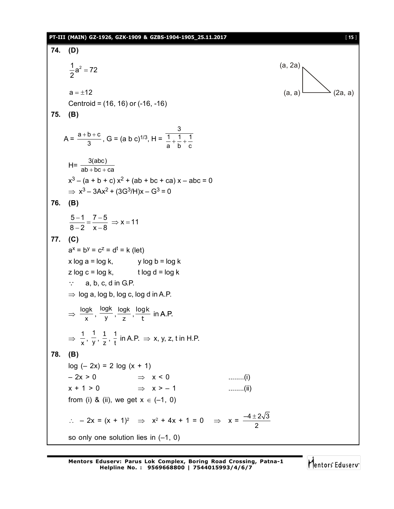### **PT-III (MAIN) GZ-1926, GZK-1909 & GZBS-1904-1905\_25.11.2017** [ **15** ]

**74. (D)**  $\frac{1}{2}a^2 = 72$ 2  $=$ (a, 2a)  $a = \pm 12$  (2a, a) Centroid = (16, 16) or (-16, -16) **75. (B)**  $A = \frac{a+b+c}{3}$ , G = (a b c)<sup>1/3</sup>, H = c 1 b 1 a 1 3  $+ - +$  $H=\frac{3(abc)}{ab+bc+ca}$  $+$  bc  $+$  $x^3 - (a + b + c) x^2 + (ab + bc + ca) x - abc = 0$  $\Rightarrow$  x<sup>3</sup> – 3Ax<sup>2</sup> + (3G<sup>3</sup>/H)x – G<sup>3</sup> = 0 **76. (B)**  $\frac{5-1}{2} = \frac{7-5}{2} \Rightarrow x = 11$  $8 - 2 \times -8$  $\frac{-1}{2} = \frac{7-5}{2} \Rightarrow x =$  $-2 \times -8$ **77. (C)**  $a^x = b^y = c^z = d^t = k$  (let)  $x \log a = \log k$ , y  $\log b = \log k$  $z \log c = \log k$ , t  $\log d = \log k$  $\therefore$  a, b, c, d in G.P.  $\Rightarrow$  log a, log b, log c, log d in A.P.  $\Rightarrow \frac{10}{x}$  $\frac{\log k}{x}$ ,  $\frac{\log k}{y}$  $\frac{\log k}{y}$ ,  $\frac{\log k}{z}$ logk<sub>,</sub>log<br>z,t  $\frac{\log k}{k}$  in A.P.  $\Rightarrow \frac{1}{x}$  $\frac{1}{\mathsf{x}},\frac{1}{\mathsf{y}}$  $\frac{1}{y}$ ,  $\frac{1}{z}$  $\frac{1}{z}$ ,  $\frac{1}{t}$  in A.P.  $\Rightarrow$  x, y, z, t in H.P. **78. (B)**  $log (-2x) = 2 log (x + 1)$  $-2x > 0$   $\Rightarrow x < 0$  ........(i)  $x + 1 > 0$   $\Rightarrow x > -1$  ........(ii) from (i) & (ii), we get  $x \in (-1, 0)$  $\therefore$  - 2x =  $(x + 1)^2$   $\Rightarrow$   $x^2 + 4x + 1 = 0$   $\Rightarrow$   $x = \frac{-4 \pm 2\sqrt{3}}{2}$ 2 so only one solution lies in (–1, 0)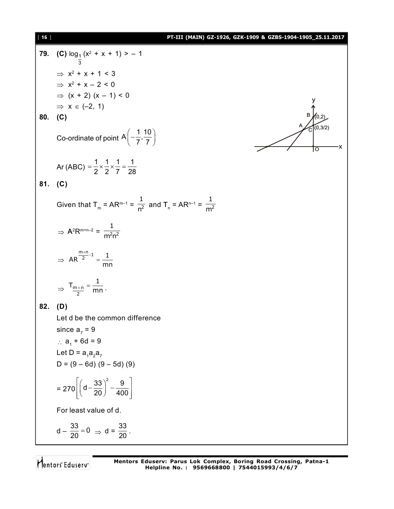| $[16]$ | PT-III (MAIN) GZ-1926, GZK-1909 & GZBS-1904-1905_25.11.2017                      |
|--------|----------------------------------------------------------------------------------|
| 79.    | (C) $log_1(x^2 + x + 1) > -1$                                                    |
|        | $\Rightarrow$ x <sup>2</sup> + x + 1 < 3                                         |
|        | $\Rightarrow$ $x^2 + x - 2 < 0$                                                  |
|        | $\Rightarrow$ (x + 2) (x - 1) < 0                                                |
|        | $\Rightarrow$ $x \in (-2, 1)$                                                    |
|        | 80. (C)                                                                          |
|        | (0, 3/2)<br>Co-ordinate of point $A\left(-\frac{1}{7},\frac{10}{7}\right)$       |
|        | Ar (ABC) = $\frac{1}{2} \times \frac{1}{2} \times \frac{1}{7} = \frac{1}{28}$    |
|        | 81. $(C)$                                                                        |
|        | Given that $T_m = AR^{m-1} = \frac{1}{n^2}$ and $T_n = AR^{n-1} = \frac{1}{m^2}$ |
|        | $\Rightarrow$ A <sup>2</sup> R <sup>m+n-2</sup> = $\frac{1}{m^2n^2}$             |
|        | $\Rightarrow$ AR $\frac{m+n}{2}$ -1 = $\frac{1}{mn}$                             |
|        | $\Rightarrow$ T <sub>m+n</sub> = $\frac{1}{2}$ mn.                               |
| 82.    | (D)                                                                              |
|        | Let d be the common difference                                                   |
|        | since $a_7 = 9$                                                                  |
|        | ∴ $a_1$ + 6d = 9                                                                 |
|        | Let D = $a_1a_2a_7$                                                              |
|        | $D = (9 - 6d) (9 - 5d) (9)$                                                      |
|        | $= 270 \left  \left( d - \frac{33}{20} \right)^2 - \frac{9}{400} \right $        |
|        | For least value of d.                                                            |
|        | $d - \frac{33}{20} = 0 \Rightarrow d = \frac{33}{20}$ .                          |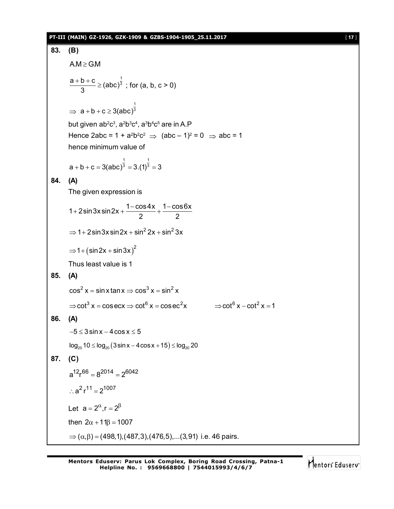### **PT-III (MAIN) GZ-1926, GZK-1909 & GZBS-1904-1905\_25.11.2017** [ **17** ]

```
83. (B)
         A.M \ge G.M1
          \frac{a+b+c}{2} \geq (abc)<sup>\frac{1}{3}</sup>
               3
             \frac{+b+c}{2} ≥ (abc)<sup>3</sup>; for (a, b, c > 0)
          \Rightarrow1
               a + b + c \geq 3(abc)<sup>3</sup>
         but given ab^2c^3, a^2b^3c^4, a^3b^4c^5 are in A.P
         Hence 2abc = 1 + a<sup>2</sup>b<sup>2</sup>c<sup>2</sup> \Rightarrow (abc – 1)<sup>2</sup> = 0 \Rightarrow abc = 1
         hence minimum value of
                                     1 1
          a + b + c = 3(abc)^3 = 3.(1)^3 = 384. (A)
         The given expression is
         1 + 2sin 3x sin 2x + \frac{1-\cos 4x}{2} + \frac{1-\cos 6x}{2}2 2
            +2sin3xsin2x + \frac{1-\cos 4x}{2} + \frac{1-6x}{2}\Rightarrow 1+2sin3xsin2x + sin<sup>2</sup> 2x + sin<sup>2</sup> 3x
          \Rightarrow 1 + \left( sin 2x + sin 3x\right)^2Thus least value is 1
85. (A)
         \cos^2 x = \sin x \tan x \Rightarrow \cos^3 x = \sin^2 x\Rightarrowcot<sup>3</sup> x = cosecx \Rightarrow cot<sup>6</sup> x = cosec<sup>2</sup>x \Rightarrow cot<sup>6</sup> x - cot<sup>2</sup> x = 1
86. (A)
         -5 \leq 3 \sin x - 4 \cos x \leq 5log_{20} 10 \le log_{20} (3\sin x - 4\cos x + 15) \le log_{20} 2087. (C)
         a^{12}r^{66} = 8^{2014} = 2^{6042}\therefore a<sup>2</sup> r<sup>11</sup> = 2<sup>1007</sup>
         Let a = 2^{\alpha}, r = 2^{\beta}then 2\alpha + 11\beta = 1007\Rightarrow (\alpha, \beta) = (498,1),(487,3),(476,5),...(3,91) i.e. 46 pairs.
```
Mentors Eduserv